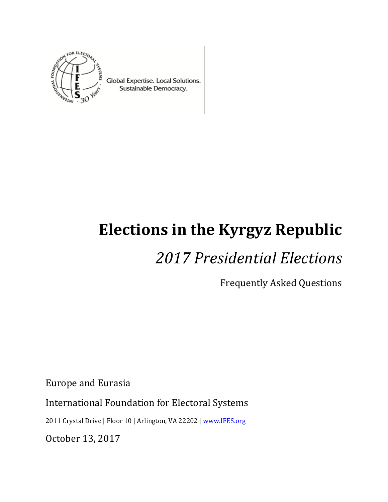

Global Expertise. Local Solutions. Sustainable Democracy.

# **Elections in the Kyrgyz Republic**

# *2017 Presidential Elections*

Frequently Asked Questions

Europe and Eurasia

International Foundation for Electoral Systems

2011 Crystal Drive | Floor 10 | Arlington, VA 22202 [| www.IFES.org](file:///C:/Users/max/AppData/Local/Microsoft/Windows/INetCache/Content.Outlook/T1YQVVPB/www.IFES.org)

October 13, 2017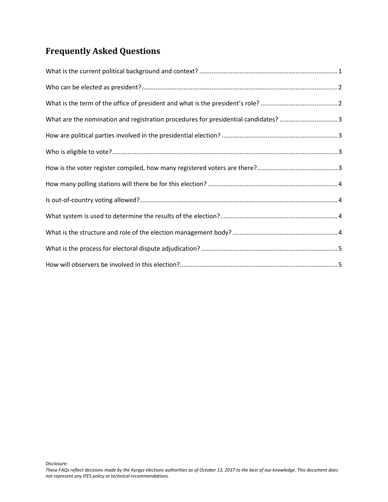# **Frequently Asked Questions**

| What are the nomination and registration procedures for presidential candidates? 3 |  |
|------------------------------------------------------------------------------------|--|
|                                                                                    |  |
|                                                                                    |  |
|                                                                                    |  |
|                                                                                    |  |
|                                                                                    |  |
|                                                                                    |  |
|                                                                                    |  |
|                                                                                    |  |
|                                                                                    |  |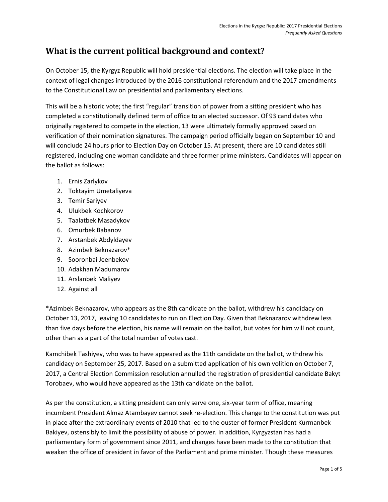### <span id="page-2-0"></span>**What is the current political background and context?**

On October 15, the Kyrgyz Republic will hold presidential elections. The election will take place in the context of legal changes introduced by the 2016 constitutional referendum and the 2017 amendments to the Constitutional Law on presidential and parliamentary elections.

This will be a historic vote; the first "regular" transition of power from a sitting president who has completed a constitutionally defined term of office to an elected successor. Of 93 candidates who originally registered to compete in the election, 13 were ultimately formally approved based on verification of their nomination signatures. The campaign period officially began on September 10 and will conclude 24 hours prior to Election Day on October 15. At present, there are 10 candidates still registered, including one woman candidate and three former prime ministers. Candidates will appear on the ballot as follows:

- 1. Ernis Zarlykov
- 2. Toktayim Umetaliyeva
- 3. Temir Sariyev
- 4. Ulukbek Kochkorov
- 5. Taalatbek Masadykov
- 6. Omurbek Babanov
- 7. Arstanbek Abdyldayev
- 8. Azimbek Beknazarov\*
- 9. Sooronbai Jeenbekov
- 10. Adakhan Madumarov
- 11. Arslanbek Maliyev
- 12. Against all

\*Azimbek Beknazarov, who appears as the 8th candidate on the ballot, withdrew his candidacy on October 13, 2017, leaving 10 candidates to run on Election Day. Given that Beknazarov withdrew less than five days before the election, his name will remain on the ballot, but votes for him will not count, other than as a part of the total number of votes cast.

Kamchibek Tashiyev, who was to have appeared as the 11th candidate on the ballot, withdrew his candidacy on September 25, 2017. Based on a submitted application of his own volition on October 7, 2017, a Central Election Commission resolution annulled the registration of presidential candidate Bakyt Torobaev, who would have appeared as the 13th candidate on the ballot.

As per the constitution, a sitting president can only serve one, six-year term of office, meaning incumbent President Almaz Atambayev cannot seek re-election. This change to the constitution was put in place after the extraordinary events of 2010 that led to the ouster of former President Kurmanbek Bakiyev, ostensibly to limit the possibility of abuse of power. In addition, Kyrgyzstan has had a parliamentary form of government since 2011, and changes have been made to the constitution that weaken the office of president in favor of the Parliament and prime minister. Though these measures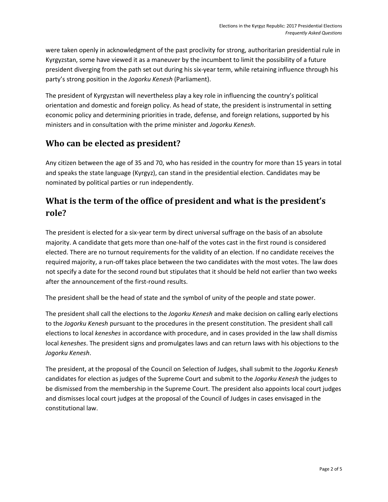were taken openly in acknowledgment of the past proclivity for strong, authoritarian presidential rule in Kyrgyzstan, some have viewed it as a maneuver by the incumbent to limit the possibility of a future president diverging from the path set out during his six-year term, while retaining influence through his party's strong position in the *Jogorku Kenesh* (Parliament).

The president of Kyrgyzstan will nevertheless play a key role in influencing the country's political orientation and domestic and foreign policy. As head of state, the president is instrumental in setting economic policy and determining priorities in trade, defense, and foreign relations, supported by his ministers and in consultation with the prime minister and *Jogorku Kenesh*.

#### <span id="page-3-0"></span>**Who can be elected as president?**

Any citizen between the age of 35 and 70, who has resided in the country for more than 15 years in total and speaks the state language (Kyrgyz), can stand in the presidential election. Candidates may be nominated by political parties or run independently.

## <span id="page-3-1"></span>**What is the term of the office of president and what is the president's role?**

The president is elected for a six-year term by direct universal suffrage on the basis of an absolute majority. A candidate that gets more than one-half of the votes cast in the first round is considered elected. There are no turnout requirements for the validity of an election. If no candidate receives the required majority, a run-off takes place between the two candidates with the most votes. The law does not specify a date for the second round but stipulates that it should be held not earlier than two weeks after the announcement of the first-round results.

The president shall be the head of state and the symbol of unity of the people and state power.

The president shall call the elections to the *Jogorku Kenesh* and make decision on calling early elections to the *Jogorku Kenesh* pursuant to the procedures in the present constitution. The president shall call elections to local *keneshes* in accordance with procedure, and in cases provided in the law shall dismiss local *keneshes*. The president signs and promulgates laws and can return laws with his objections to the *Jogorku Kenesh*.

The president, at the proposal of the Council on Selection of Judges, shall submit to the *Jogorku Kenesh* candidates for election as judges of the Supreme Court and submit to the *Jogorku Kenesh* the judges to be dismissed from the membership in the Supreme Court. The president also appoints local court judges and dismisses local court judges at the proposal of the Council of Judges in cases envisaged in the constitutional law.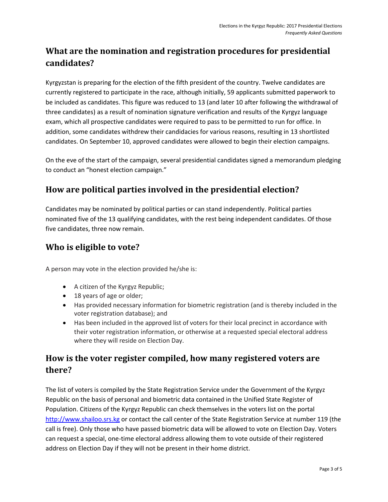# <span id="page-4-0"></span>**What are the nomination and registration procedures for presidential candidates?**

Kyrgyzstan is preparing for the election of the fifth president of the country. Twelve candidates are currently registered to participate in the race, although initially, 59 applicants submitted paperwork to be included as candidates. This figure was reduced to 13 (and later 10 after following the withdrawal of three candidates) as a result of nomination signature verification and results of the Kyrgyz language exam, which all prospective candidates were required to pass to be permitted to run for office. In addition, some candidates withdrew their candidacies for various reasons, resulting in 13 shortlisted candidates. On September 10, approved candidates were allowed to begin their election campaigns.

On the eve of the start of the campaign, several presidential candidates signed a memorandum pledging to conduct an "honest election campaign."

#### <span id="page-4-1"></span>**How are political parties involved in the presidential election?**

Candidates may be nominated by political parties or can stand independently. Political parties nominated five of the 13 qualifying candidates, with the rest being independent candidates. Of those five candidates, three now remain.

#### <span id="page-4-2"></span>**Who is eligible to vote?**

A person may vote in the election provided he/she is:

- A citizen of the Kyrgyz Republic;
- 18 years of age or older;
- Has provided necessary information for biometric registration (and is thereby included in the voter registration database); and
- Has been included in the approved list of voters for their local precinct in accordance with their voter registration information, or otherwise at a requested special electoral address where they will reside on Election Day.

### <span id="page-4-3"></span>**How is the voter register compiled, how many registered voters are there?**

The list of voters is compiled by the State Registration Service under the Government of the Kyrgyz Republic on the basis of personal and biometric data contained in the Unified State Register of Population. Citizens of the Kyrgyz Republic can check themselves in the voters list on the portal [http://www.shailoo.srs.kg](http://www.shailoo.srs.kg/) or contact the call center of the State Registration Service at number 119 (the call is free). Only those who have passed biometric data will be allowed to vote on Election Day. Voters can request a special, one-time electoral address allowing them to vote outside of their registered address on Election Day if they will not be present in their home district.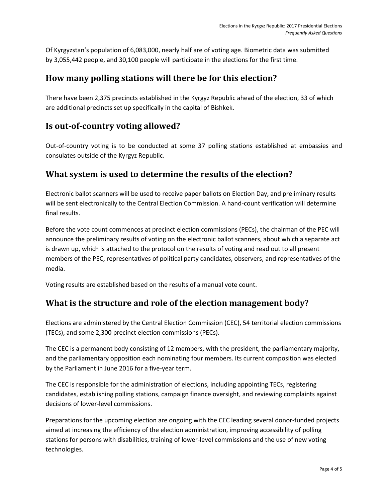Of Kyrgyzstan's population of 6,083,000, nearly half are of voting age. Biometric data was submitted by 3,055,442 people, and 30,100 people will participate in the elections for the first time.

#### <span id="page-5-0"></span>**How many polling stations will there be for this election?**

There have been 2,375 precincts established in the Kyrgyz Republic ahead of the election, 33 of which are additional precincts set up specifically in the capital of Bishkek.

#### <span id="page-5-1"></span>**Is out-of-country voting allowed?**

Out-of-country voting is to be conducted at some 37 polling stations established at embassies and consulates outside of the Kyrgyz Republic.

#### <span id="page-5-2"></span>**What system is used to determine the results of the election?**

Electronic ballot scanners will be used to receive paper ballots on Election Day, and preliminary results will be sent electronically to the Central Election Commission. A hand-count verification will determine final results.

Before the vote count commences at precinct election commissions (PECs), the chairman of the PEC will announce the preliminary results of voting on the electronic ballot scanners, about which a separate act is drawn up, which is attached to the protocol on the results of voting and read out to all present members of the PEC, representatives of political party candidates, observers, and representatives of the media.

Voting results are established based on the results of a manual vote count.

#### <span id="page-5-3"></span>**What is the structure and role of the election management body?**

Elections are administered by the Central Election Commission (CEC), 54 territorial election commissions (TECs), and some 2,300 precinct election commissions (PECs).

The CEC is a permanent body consisting of 12 members, with the president, the parliamentary majority, and the parliamentary opposition each nominating four members. Its current composition was elected by the Parliament in June 2016 for a five-year term.

The CEC is responsible for the administration of elections, including appointing TECs, registering candidates, establishing polling stations, campaign finance oversight, and reviewing complaints against decisions of lower-level commissions.

Preparations for the upcoming election are ongoing with the CEC leading several donor-funded projects aimed at increasing the efficiency of the election administration, improving accessibility of polling stations for persons with disabilities, training of lower-level commissions and the use of new voting technologies.